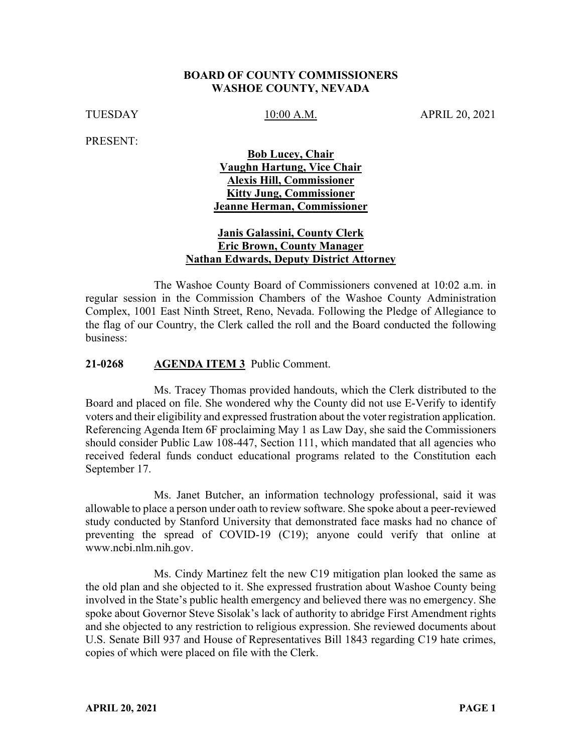#### **BOARD OF COUNTY COMMISSIONERS WASHOE COUNTY, NEVADA**

TUESDAY 10:00 A.M. APRIL 20, 2021

PRESENT:

# **Bob Lucey, Chair Vaughn Hartung, Vice Chair Alexis Hill, Commissioner Kitty Jung, Commissioner Jeanne Herman, Commissioner**

### **Janis Galassini, County Clerk Eric Brown, County Manager Nathan Edwards, Deputy District Attorney**

The Washoe County Board of Commissioners convened at 10:02 a.m. in regular session in the Commission Chambers of the Washoe County Administration Complex, 1001 East Ninth Street, Reno, Nevada. Following the Pledge of Allegiance to the flag of our Country, the Clerk called the roll and the Board conducted the following business:

#### **21-0268 AGENDA ITEM 3** Public Comment.

Ms. Tracey Thomas provided handouts, which the Clerk distributed to the Board and placed on file. She wondered why the County did not use E-Verify to identify voters and their eligibility and expressed frustration about the voter registration application. Referencing Agenda Item 6F proclaiming May 1 as Law Day, she said the Commissioners should consider Public Law 108-447, Section 111, which mandated that all agencies who received federal funds conduct educational programs related to the Constitution each September 17.

Ms. Janet Butcher, an information technology professional, said it was allowable to place a person under oath to review software. She spoke about a peer-reviewed study conducted by Stanford University that demonstrated face masks had no chance of preventing the spread of COVID-19 (C19); anyone could verify that online at www.ncbi.nlm.nih.gov.

Ms. Cindy Martinez felt the new C19 mitigation plan looked the same as the old plan and she objected to it. She expressed frustration about Washoe County being involved in the State's public health emergency and believed there was no emergency. She spoke about Governor Steve Sisolak's lack of authority to abridge First Amendment rights and she objected to any restriction to religious expression. She reviewed documents about U.S. Senate Bill 937 and House of Representatives Bill 1843 regarding C19 hate crimes, copies of which were placed on file with the Clerk.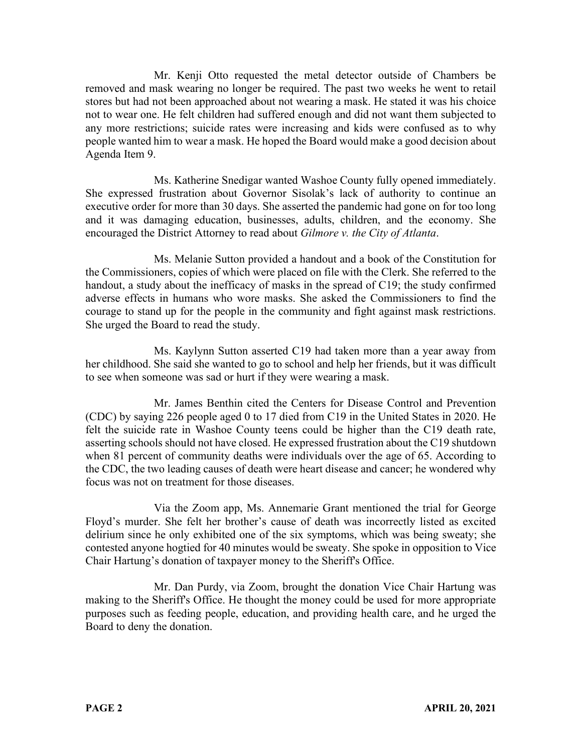Mr. Kenji Otto requested the metal detector outside of Chambers be removed and mask wearing no longer be required. The past two weeks he went to retail stores but had not been approached about not wearing a mask. He stated it was his choice not to wear one. He felt children had suffered enough and did not want them subjected to any more restrictions; suicide rates were increasing and kids were confused as to why people wanted him to wear a mask. He hoped the Board would make a good decision about Agenda Item 9.

Ms. Katherine Snedigar wanted Washoe County fully opened immediately. She expressed frustration about Governor Sisolak's lack of authority to continue an executive order for more than 30 days. She asserted the pandemic had gone on for too long and it was damaging education, businesses, adults, children, and the economy. She encouraged the District Attorney to read about *Gilmore v. the City of Atlanta*.

Ms. Melanie Sutton provided a handout and a book of the Constitution for the Commissioners, copies of which were placed on file with the Clerk. She referred to the handout, a study about the inefficacy of masks in the spread of C19; the study confirmed adverse effects in humans who wore masks. She asked the Commissioners to find the courage to stand up for the people in the community and fight against mask restrictions. She urged the Board to read the study.

Ms. Kaylynn Sutton asserted C19 had taken more than a year away from her childhood. She said she wanted to go to school and help her friends, but it was difficult to see when someone was sad or hurt if they were wearing a mask.

Mr. James Benthin cited the Centers for Disease Control and Prevention (CDC) by saying 226 people aged 0 to 17 died from C19 in the United States in 2020. He felt the suicide rate in Washoe County teens could be higher than the C19 death rate, asserting schools should not have closed. He expressed frustration about the C19 shutdown when 81 percent of community deaths were individuals over the age of 65. According to the CDC, the two leading causes of death were heart disease and cancer; he wondered why focus was not on treatment for those diseases.

Via the Zoom app, Ms. Annemarie Grant mentioned the trial for George Floyd's murder. She felt her brother's cause of death was incorrectly listed as excited delirium since he only exhibited one of the six symptoms, which was being sweaty; she contested anyone hogtied for 40 minutes would be sweaty. She spoke in opposition to Vice Chair Hartung's donation of taxpayer money to the Sheriff's Office.

Mr. Dan Purdy, via Zoom, brought the donation Vice Chair Hartung was making to the Sheriff's Office. He thought the money could be used for more appropriate purposes such as feeding people, education, and providing health care, and he urged the Board to deny the donation.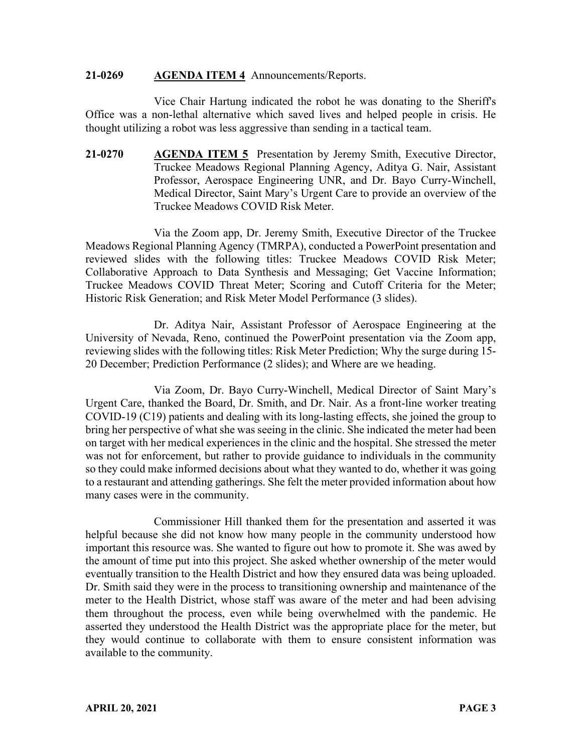#### **21-0269 AGENDA ITEM 4** Announcements/Reports.

Vice Chair Hartung indicated the robot he was donating to the Sheriff's Office was a non-lethal alternative which saved lives and helped people in crisis. He thought utilizing a robot was less aggressive than sending in a tactical team.

**21-0270 AGENDA ITEM 5** Presentation by Jeremy Smith, Executive Director, Truckee Meadows Regional Planning Agency, Aditya G. Nair, Assistant Professor, Aerospace Engineering UNR, and Dr. Bayo Curry-Winchell, Medical Director, Saint Mary's Urgent Care to provide an overview of the Truckee Meadows COVID Risk Meter.

Via the Zoom app, Dr. Jeremy Smith, Executive Director of the Truckee Meadows Regional Planning Agency (TMRPA), conducted a PowerPoint presentation and reviewed slides with the following titles: Truckee Meadows COVID Risk Meter; Collaborative Approach to Data Synthesis and Messaging; Get Vaccine Information; Truckee Meadows COVID Threat Meter; Scoring and Cutoff Criteria for the Meter; Historic Risk Generation; and Risk Meter Model Performance (3 slides).

Dr. Aditya Nair, Assistant Professor of Aerospace Engineering at the University of Nevada, Reno, continued the PowerPoint presentation via the Zoom app, reviewing slides with the following titles: Risk Meter Prediction; Why the surge during 15- 20 December; Prediction Performance (2 slides); and Where are we heading.

Via Zoom, Dr. Bayo Curry-Winchell, Medical Director of Saint Mary's Urgent Care, thanked the Board, Dr. Smith, and Dr. Nair. As a front-line worker treating COVID-19 (C19) patients and dealing with its long-lasting effects, she joined the group to bring her perspective of what she was seeing in the clinic. She indicated the meter had been on target with her medical experiences in the clinic and the hospital. She stressed the meter was not for enforcement, but rather to provide guidance to individuals in the community so they could make informed decisions about what they wanted to do, whether it was going to a restaurant and attending gatherings. She felt the meter provided information about how many cases were in the community.

Commissioner Hill thanked them for the presentation and asserted it was helpful because she did not know how many people in the community understood how important this resource was. She wanted to figure out how to promote it. She was awed by the amount of time put into this project. She asked whether ownership of the meter would eventually transition to the Health District and how they ensured data was being uploaded. Dr. Smith said they were in the process to transitioning ownership and maintenance of the meter to the Health District, whose staff was aware of the meter and had been advising them throughout the process, even while being overwhelmed with the pandemic. He asserted they understood the Health District was the appropriate place for the meter, but they would continue to collaborate with them to ensure consistent information was available to the community.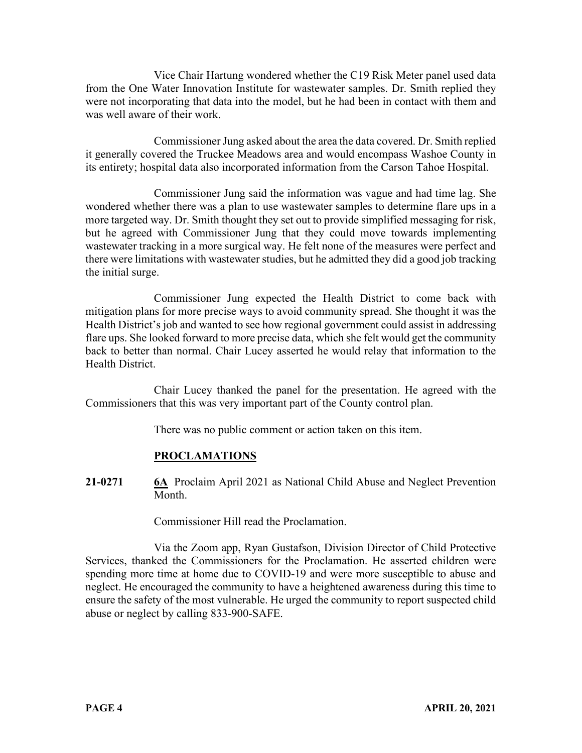Vice Chair Hartung wondered whether the C19 Risk Meter panel used data from the One Water Innovation Institute for wastewater samples. Dr. Smith replied they were not incorporating that data into the model, but he had been in contact with them and was well aware of their work.

Commissioner Jung asked about the area the data covered. Dr. Smith replied it generally covered the Truckee Meadows area and would encompass Washoe County in its entirety; hospital data also incorporated information from the Carson Tahoe Hospital.

Commissioner Jung said the information was vague and had time lag. She wondered whether there was a plan to use wastewater samples to determine flare ups in a more targeted way. Dr. Smith thought they set out to provide simplified messaging for risk, but he agreed with Commissioner Jung that they could move towards implementing wastewater tracking in a more surgical way. He felt none of the measures were perfect and there were limitations with wastewater studies, but he admitted they did a good job tracking the initial surge.

Commissioner Jung expected the Health District to come back with mitigation plans for more precise ways to avoid community spread. She thought it was the Health District's job and wanted to see how regional government could assist in addressing flare ups. She looked forward to more precise data, which she felt would get the community back to better than normal. Chair Lucey asserted he would relay that information to the Health District.

Chair Lucey thanked the panel for the presentation. He agreed with the Commissioners that this was very important part of the County control plan.

There was no public comment or action taken on this item.

# **PROCLAMATIONS**

**21-0271 6A** Proclaim April 2021 as National Child Abuse and Neglect Prevention Month.

Commissioner Hill read the Proclamation.

Via the Zoom app, Ryan Gustafson, Division Director of Child Protective Services, thanked the Commissioners for the Proclamation. He asserted children were spending more time at home due to COVID-19 and were more susceptible to abuse and neglect. He encouraged the community to have a heightened awareness during this time to ensure the safety of the most vulnerable. He urged the community to report suspected child abuse or neglect by calling 833-900-SAFE.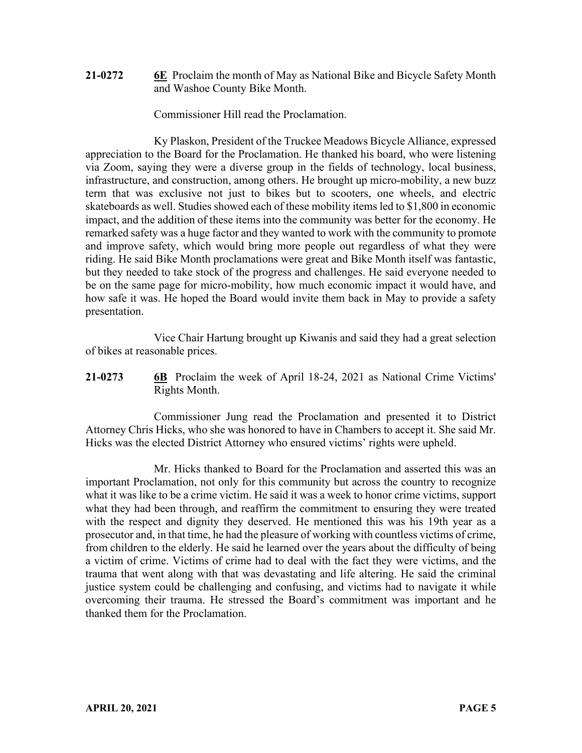**21-0272 6E** Proclaim the month of May as National Bike and Bicycle Safety Month and Washoe County Bike Month.

Commissioner Hill read the Proclamation.

Ky Plaskon, President of the Truckee Meadows Bicycle Alliance, expressed appreciation to the Board for the Proclamation. He thanked his board, who were listening via Zoom, saying they were a diverse group in the fields of technology, local business, infrastructure, and construction, among others. He brought up micro-mobility, a new buzz term that was exclusive not just to bikes but to scooters, one wheels, and electric skateboards as well. Studies showed each of these mobility items led to \$1,800 in economic impact, and the addition of these items into the community was better for the economy. He remarked safety was a huge factor and they wanted to work with the community to promote and improve safety, which would bring more people out regardless of what they were riding. He said Bike Month proclamations were great and Bike Month itself was fantastic, but they needed to take stock of the progress and challenges. He said everyone needed to be on the same page for micro-mobility, how much economic impact it would have, and how safe it was. He hoped the Board would invite them back in May to provide a safety presentation.

Vice Chair Hartung brought up Kiwanis and said they had a great selection of bikes at reasonable prices.

**21-0273 6B** Proclaim the week of April 18-24, 2021 as National Crime Victims' Rights Month.

Commissioner Jung read the Proclamation and presented it to District Attorney Chris Hicks, who she was honored to have in Chambers to accept it. She said Mr. Hicks was the elected District Attorney who ensured victims' rights were upheld.

Mr. Hicks thanked to Board for the Proclamation and asserted this was an important Proclamation, not only for this community but across the country to recognize what it was like to be a crime victim. He said it was a week to honor crime victims, support what they had been through, and reaffirm the commitment to ensuring they were treated with the respect and dignity they deserved. He mentioned this was his 19th year as a prosecutor and, in that time, he had the pleasure of working with countless victims of crime, from children to the elderly. He said he learned over the years about the difficulty of being a victim of crime. Victims of crime had to deal with the fact they were victims, and the trauma that went along with that was devastating and life altering. He said the criminal justice system could be challenging and confusing, and victims had to navigate it while overcoming their trauma. He stressed the Board's commitment was important and he thanked them for the Proclamation.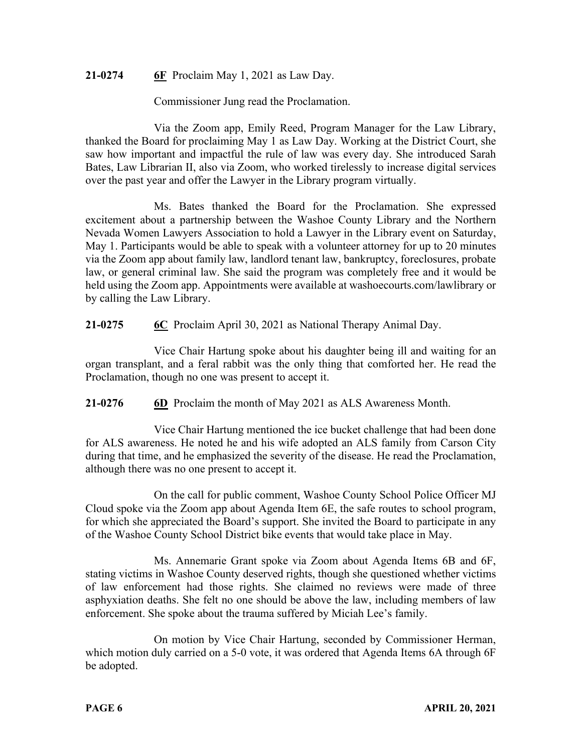# **21-0274 6F** Proclaim May 1, 2021 as Law Day.

Commissioner Jung read the Proclamation.

Via the Zoom app, Emily Reed, Program Manager for the Law Library, thanked the Board for proclaiming May 1 as Law Day. Working at the District Court, she saw how important and impactful the rule of law was every day. She introduced Sarah Bates, Law Librarian II, also via Zoom, who worked tirelessly to increase digital services over the past year and offer the Lawyer in the Library program virtually.

Ms. Bates thanked the Board for the Proclamation. She expressed excitement about a partnership between the Washoe County Library and the Northern Nevada Women Lawyers Association to hold a Lawyer in the Library event on Saturday, May 1. Participants would be able to speak with a volunteer attorney for up to 20 minutes via the Zoom app about family law, landlord tenant law, bankruptcy, foreclosures, probate law, or general criminal law. She said the program was completely free and it would be held using the Zoom app. Appointments were available at washoecourts.com/lawlibrary or by calling the Law Library.

**21-0275 6C** Proclaim April 30, 2021 as National Therapy Animal Day.

Vice Chair Hartung spoke about his daughter being ill and waiting for an organ transplant, and a feral rabbit was the only thing that comforted her. He read the Proclamation, though no one was present to accept it.

**21-0276 6D** Proclaim the month of May 2021 as ALS Awareness Month.

Vice Chair Hartung mentioned the ice bucket challenge that had been done for ALS awareness. He noted he and his wife adopted an ALS family from Carson City during that time, and he emphasized the severity of the disease. He read the Proclamation, although there was no one present to accept it.

On the call for public comment, Washoe County School Police Officer MJ Cloud spoke via the Zoom app about Agenda Item 6E, the safe routes to school program, for which she appreciated the Board's support. She invited the Board to participate in any of the Washoe County School District bike events that would take place in May.

Ms. Annemarie Grant spoke via Zoom about Agenda Items 6B and 6F, stating victims in Washoe County deserved rights, though she questioned whether victims of law enforcement had those rights. She claimed no reviews were made of three asphyxiation deaths. She felt no one should be above the law, including members of law enforcement. She spoke about the trauma suffered by Miciah Lee's family.

On motion by Vice Chair Hartung, seconded by Commissioner Herman, which motion duly carried on a 5-0 vote, it was ordered that Agenda Items 6A through 6F be adopted.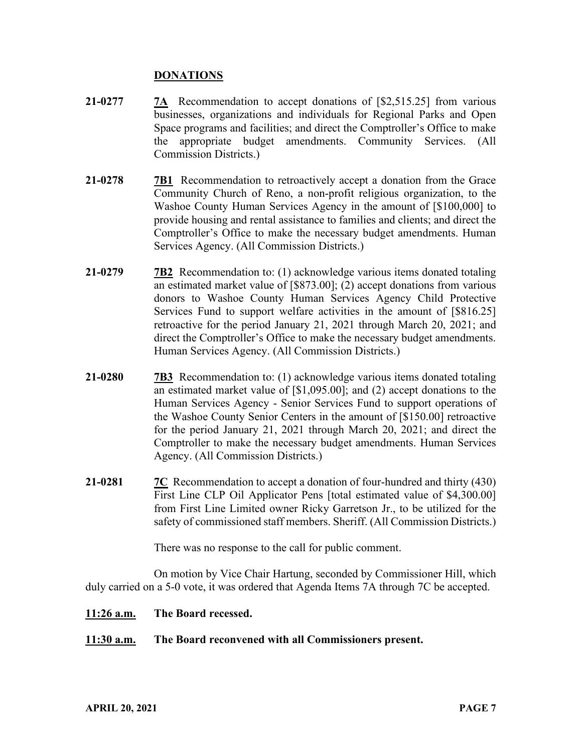### **DONATIONS**

- **21-0277 7A** Recommendation to accept donations of [\$2,515.25] from various businesses, organizations and individuals for Regional Parks and Open Space programs and facilities; and direct the Comptroller's Office to make the appropriate budget amendments. Community Services. (All Commission Districts.)
- **21-0278 7B1** Recommendation to retroactively accept a donation from the Grace Community Church of Reno, a non-profit religious organization, to the Washoe County Human Services Agency in the amount of [\$100,000] to provide housing and rental assistance to families and clients; and direct the Comptroller's Office to make the necessary budget amendments. Human Services Agency. (All Commission Districts.)
- **21-0279 7B2** Recommendation to: (1) acknowledge various items donated totaling an estimated market value of [\$873.00]; (2) accept donations from various donors to Washoe County Human Services Agency Child Protective Services Fund to support welfare activities in the amount of [\$816.25] retroactive for the period January 21, 2021 through March 20, 2021; and direct the Comptroller's Office to make the necessary budget amendments. Human Services Agency. (All Commission Districts.)
- **21-0280 7B3** Recommendation to: (1) acknowledge various items donated totaling an estimated market value of [\$1,095.00]; and (2) accept donations to the Human Services Agency - Senior Services Fund to support operations of the Washoe County Senior Centers in the amount of [\$150.00] retroactive for the period January 21, 2021 through March 20, 2021; and direct the Comptroller to make the necessary budget amendments. Human Services Agency. (All Commission Districts.)
- **21-0281 7C** Recommendation to accept a donation of four-hundred and thirty (430) First Line CLP Oil Applicator Pens [total estimated value of \$4,300.00] from First Line Limited owner Ricky Garretson Jr., to be utilized for the safety of commissioned staff members. Sheriff. (All Commission Districts.)

There was no response to the call for public comment.

On motion by Vice Chair Hartung, seconded by Commissioner Hill, which duly carried on a 5-0 vote, it was ordered that Agenda Items 7A through 7C be accepted.

#### **11:26 a.m. The Board recessed.**

#### **11:30 a.m. The Board reconvened with all Commissioners present.**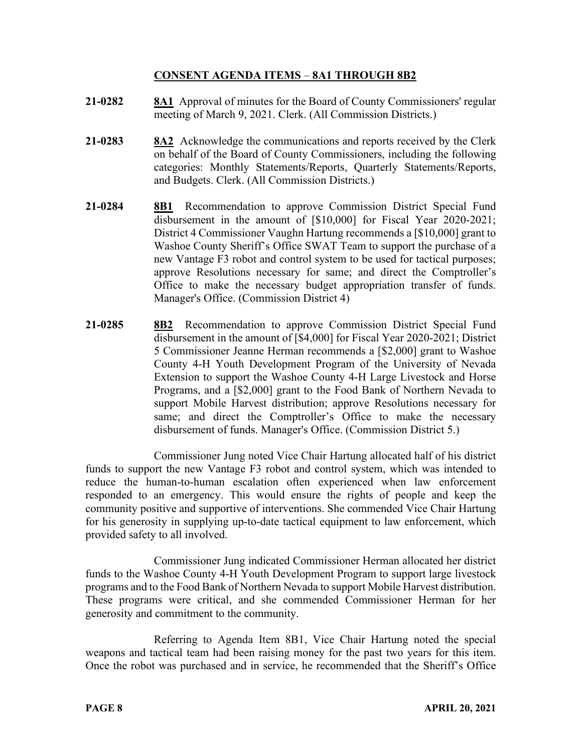# **CONSENT AGENDA ITEMS** – **8A1 THROUGH 8B2**

- **21-0282 8A1** Approval of minutes for the Board of County Commissioners' regular meeting of March 9, 2021. Clerk. (All Commission Districts.)
- **21-0283 8A2** Acknowledge the communications and reports received by the Clerk on behalf of the Board of County Commissioners, including the following categories: Monthly Statements/Reports, Quarterly Statements/Reports, and Budgets. Clerk. (All Commission Districts.)
- **21-0284 8B1** Recommendation to approve Commission District Special Fund disbursement in the amount of [\$10,000] for Fiscal Year 2020-2021; District 4 Commissioner Vaughn Hartung recommends a [\$10,000] grant to Washoe County Sheriff's Office SWAT Team to support the purchase of a new Vantage F3 robot and control system to be used for tactical purposes; approve Resolutions necessary for same; and direct the Comptroller's Office to make the necessary budget appropriation transfer of funds. Manager's Office. (Commission District 4)
- **21-0285 8B2** Recommendation to approve Commission District Special Fund disbursement in the amount of [\$4,000] for Fiscal Year 2020-2021; District 5 Commissioner Jeanne Herman recommends a [\$2,000] grant to Washoe County 4-H Youth Development Program of the University of Nevada Extension to support the Washoe County 4-H Large Livestock and Horse Programs, and a [\$2,000] grant to the Food Bank of Northern Nevada to support Mobile Harvest distribution; approve Resolutions necessary for same; and direct the Comptroller's Office to make the necessary disbursement of funds. Manager's Office. (Commission District 5.)

Commissioner Jung noted Vice Chair Hartung allocated half of his district funds to support the new Vantage F3 robot and control system, which was intended to reduce the human-to-human escalation often experienced when law enforcement responded to an emergency. This would ensure the rights of people and keep the community positive and supportive of interventions. She commended Vice Chair Hartung for his generosity in supplying up-to-date tactical equipment to law enforcement, which provided safety to all involved.

Commissioner Jung indicated Commissioner Herman allocated her district funds to the Washoe County 4-H Youth Development Program to support large livestock programs and to the Food Bank of Northern Nevada to support Mobile Harvest distribution. These programs were critical, and she commended Commissioner Herman for her generosity and commitment to the community.

Referring to Agenda Item 8B1, Vice Chair Hartung noted the special weapons and tactical team had been raising money for the past two years for this item. Once the robot was purchased and in service, he recommended that the Sheriff's Office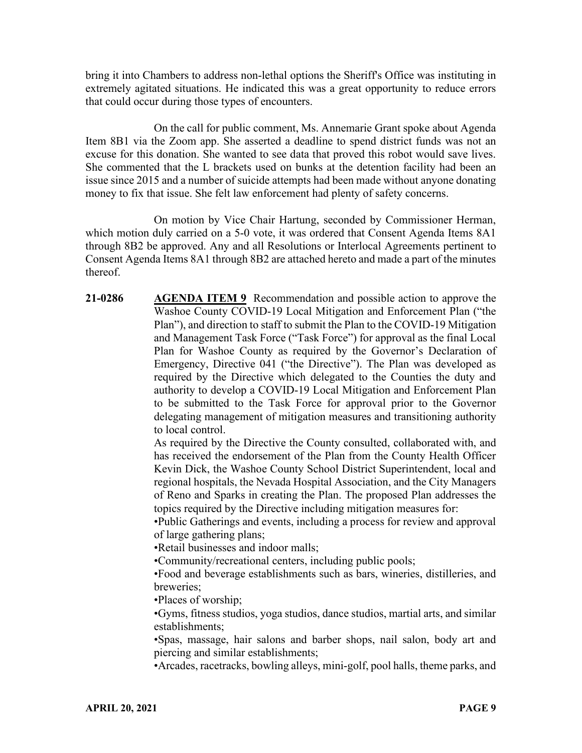bring it into Chambers to address non-lethal options the Sheriff's Office was instituting in extremely agitated situations. He indicated this was a great opportunity to reduce errors that could occur during those types of encounters.

On the call for public comment, Ms. Annemarie Grant spoke about Agenda Item 8B1 via the Zoom app. She asserted a deadline to spend district funds was not an excuse for this donation. She wanted to see data that proved this robot would save lives. She commented that the L brackets used on bunks at the detention facility had been an issue since 2015 and a number of suicide attempts had been made without anyone donating money to fix that issue. She felt law enforcement had plenty of safety concerns.

On motion by Vice Chair Hartung, seconded by Commissioner Herman, which motion duly carried on a 5-0 vote, it was ordered that Consent Agenda Items 8A1 through 8B2 be approved. Any and all Resolutions or Interlocal Agreements pertinent to Consent Agenda Items 8A1 through 8B2 are attached hereto and made a part of the minutes thereof.

**21-0286 AGENDA ITEM 9** Recommendation and possible action to approve the Washoe County COVID-19 Local Mitigation and Enforcement Plan ("the Plan"), and direction to staff to submit the Plan to the COVID-19 Mitigation and Management Task Force ("Task Force") for approval as the final Local Plan for Washoe County as required by the Governor's Declaration of Emergency, Directive 041 ("the Directive"). The Plan was developed as required by the Directive which delegated to the Counties the duty and authority to develop a COVID-19 Local Mitigation and Enforcement Plan to be submitted to the Task Force for approval prior to the Governor delegating management of mitigation measures and transitioning authority to local control.

As required by the Directive the County consulted, collaborated with, and has received the endorsement of the Plan from the County Health Officer Kevin Dick, the Washoe County School District Superintendent, local and regional hospitals, the Nevada Hospital Association, and the City Managers of Reno and Sparks in creating the Plan. The proposed Plan addresses the topics required by the Directive including mitigation measures for:

•Public Gatherings and events, including a process for review and approval of large gathering plans;

•Retail businesses and indoor malls;

•Community/recreational centers, including public pools;

•Food and beverage establishments such as bars, wineries, distilleries, and breweries;

•Places of worship;

•Gyms, fitness studios, yoga studios, dance studios, martial arts, and similar establishments;

•Spas, massage, hair salons and barber shops, nail salon, body art and piercing and similar establishments;

•Arcades, racetracks, bowling alleys, mini-golf, pool halls, theme parks, and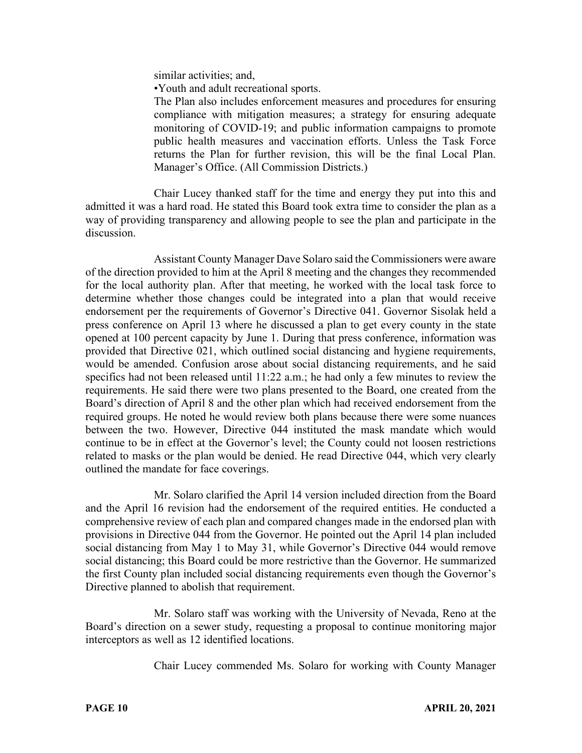similar activities; and,

•Youth and adult recreational sports.

The Plan also includes enforcement measures and procedures for ensuring compliance with mitigation measures; a strategy for ensuring adequate monitoring of COVID-19; and public information campaigns to promote public health measures and vaccination efforts. Unless the Task Force returns the Plan for further revision, this will be the final Local Plan. Manager's Office. (All Commission Districts.)

Chair Lucey thanked staff for the time and energy they put into this and admitted it was a hard road. He stated this Board took extra time to consider the plan as a way of providing transparency and allowing people to see the plan and participate in the discussion.

Assistant County Manager Dave Solaro said the Commissioners were aware of the direction provided to him at the April 8 meeting and the changes they recommended for the local authority plan. After that meeting, he worked with the local task force to determine whether those changes could be integrated into a plan that would receive endorsement per the requirements of Governor's Directive 041. Governor Sisolak held a press conference on April 13 where he discussed a plan to get every county in the state opened at 100 percent capacity by June 1. During that press conference, information was provided that Directive 021, which outlined social distancing and hygiene requirements, would be amended. Confusion arose about social distancing requirements, and he said specifics had not been released until 11:22 a.m.; he had only a few minutes to review the requirements. He said there were two plans presented to the Board, one created from the Board's direction of April 8 and the other plan which had received endorsement from the required groups. He noted he would review both plans because there were some nuances between the two. However, Directive 044 instituted the mask mandate which would continue to be in effect at the Governor's level; the County could not loosen restrictions related to masks or the plan would be denied. He read Directive 044, which very clearly outlined the mandate for face coverings.

Mr. Solaro clarified the April 14 version included direction from the Board and the April 16 revision had the endorsement of the required entities. He conducted a comprehensive review of each plan and compared changes made in the endorsed plan with provisions in Directive 044 from the Governor. He pointed out the April 14 plan included social distancing from May 1 to May 31, while Governor's Directive 044 would remove social distancing; this Board could be more restrictive than the Governor. He summarized the first County plan included social distancing requirements even though the Governor's Directive planned to abolish that requirement.

Mr. Solaro staff was working with the University of Nevada, Reno at the Board's direction on a sewer study, requesting a proposal to continue monitoring major interceptors as well as 12 identified locations.

Chair Lucey commended Ms. Solaro for working with County Manager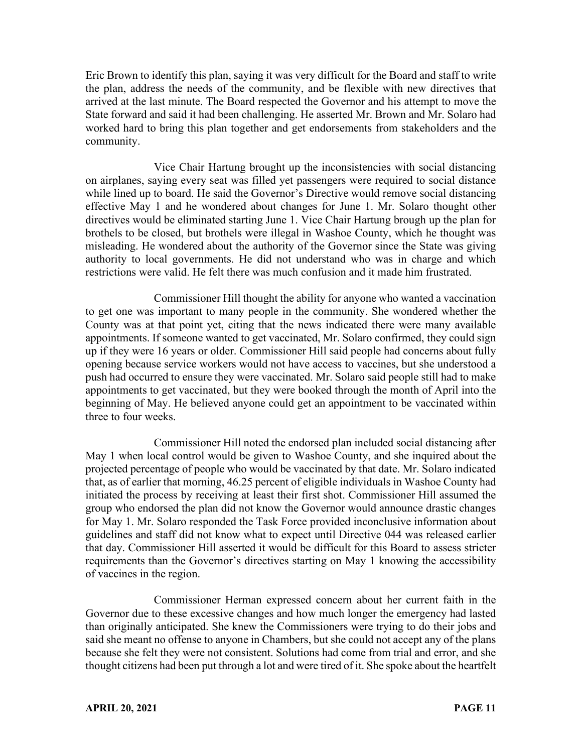Eric Brown to identify this plan, saying it was very difficult for the Board and staff to write the plan, address the needs of the community, and be flexible with new directives that arrived at the last minute. The Board respected the Governor and his attempt to move the State forward and said it had been challenging. He asserted Mr. Brown and Mr. Solaro had worked hard to bring this plan together and get endorsements from stakeholders and the community.

Vice Chair Hartung brought up the inconsistencies with social distancing on airplanes, saying every seat was filled yet passengers were required to social distance while lined up to board. He said the Governor's Directive would remove social distancing effective May 1 and he wondered about changes for June 1. Mr. Solaro thought other directives would be eliminated starting June 1. Vice Chair Hartung brough up the plan for brothels to be closed, but brothels were illegal in Washoe County, which he thought was misleading. He wondered about the authority of the Governor since the State was giving authority to local governments. He did not understand who was in charge and which restrictions were valid. He felt there was much confusion and it made him frustrated.

Commissioner Hill thought the ability for anyone who wanted a vaccination to get one was important to many people in the community. She wondered whether the County was at that point yet, citing that the news indicated there were many available appointments. If someone wanted to get vaccinated, Mr. Solaro confirmed, they could sign up if they were 16 years or older. Commissioner Hill said people had concerns about fully opening because service workers would not have access to vaccines, but she understood a push had occurred to ensure they were vaccinated. Mr. Solaro said people still had to make appointments to get vaccinated, but they were booked through the month of April into the beginning of May. He believed anyone could get an appointment to be vaccinated within three to four weeks.

Commissioner Hill noted the endorsed plan included social distancing after May 1 when local control would be given to Washoe County, and she inquired about the projected percentage of people who would be vaccinated by that date. Mr. Solaro indicated that, as of earlier that morning, 46.25 percent of eligible individuals in Washoe County had initiated the process by receiving at least their first shot. Commissioner Hill assumed the group who endorsed the plan did not know the Governor would announce drastic changes for May 1. Mr. Solaro responded the Task Force provided inconclusive information about guidelines and staff did not know what to expect until Directive 044 was released earlier that day. Commissioner Hill asserted it would be difficult for this Board to assess stricter requirements than the Governor's directives starting on May 1 knowing the accessibility of vaccines in the region.

Commissioner Herman expressed concern about her current faith in the Governor due to these excessive changes and how much longer the emergency had lasted than originally anticipated. She knew the Commissioners were trying to do their jobs and said she meant no offense to anyone in Chambers, but she could not accept any of the plans because she felt they were not consistent. Solutions had come from trial and error, and she thought citizens had been put through a lot and were tired of it. She spoke about the heartfelt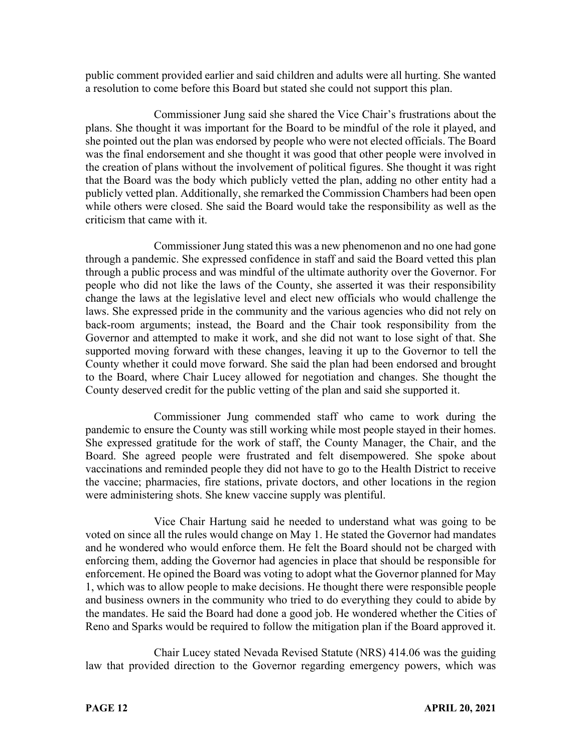public comment provided earlier and said children and adults were all hurting. She wanted a resolution to come before this Board but stated she could not support this plan.

Commissioner Jung said she shared the Vice Chair's frustrations about the plans. She thought it was important for the Board to be mindful of the role it played, and she pointed out the plan was endorsed by people who were not elected officials. The Board was the final endorsement and she thought it was good that other people were involved in the creation of plans without the involvement of political figures. She thought it was right that the Board was the body which publicly vetted the plan, adding no other entity had a publicly vetted plan. Additionally, she remarked the Commission Chambers had been open while others were closed. She said the Board would take the responsibility as well as the criticism that came with it.

Commissioner Jung stated this was a new phenomenon and no one had gone through a pandemic. She expressed confidence in staff and said the Board vetted this plan through a public process and was mindful of the ultimate authority over the Governor. For people who did not like the laws of the County, she asserted it was their responsibility change the laws at the legislative level and elect new officials who would challenge the laws. She expressed pride in the community and the various agencies who did not rely on back-room arguments; instead, the Board and the Chair took responsibility from the Governor and attempted to make it work, and she did not want to lose sight of that. She supported moving forward with these changes, leaving it up to the Governor to tell the County whether it could move forward. She said the plan had been endorsed and brought to the Board, where Chair Lucey allowed for negotiation and changes. She thought the County deserved credit for the public vetting of the plan and said she supported it.

Commissioner Jung commended staff who came to work during the pandemic to ensure the County was still working while most people stayed in their homes. She expressed gratitude for the work of staff, the County Manager, the Chair, and the Board. She agreed people were frustrated and felt disempowered. She spoke about vaccinations and reminded people they did not have to go to the Health District to receive the vaccine; pharmacies, fire stations, private doctors, and other locations in the region were administering shots. She knew vaccine supply was plentiful.

Vice Chair Hartung said he needed to understand what was going to be voted on since all the rules would change on May 1. He stated the Governor had mandates and he wondered who would enforce them. He felt the Board should not be charged with enforcing them, adding the Governor had agencies in place that should be responsible for enforcement. He opined the Board was voting to adopt what the Governor planned for May 1, which was to allow people to make decisions. He thought there were responsible people and business owners in the community who tried to do everything they could to abide by the mandates. He said the Board had done a good job. He wondered whether the Cities of Reno and Sparks would be required to follow the mitigation plan if the Board approved it.

Chair Lucey stated Nevada Revised Statute (NRS) 414.06 was the guiding law that provided direction to the Governor regarding emergency powers, which was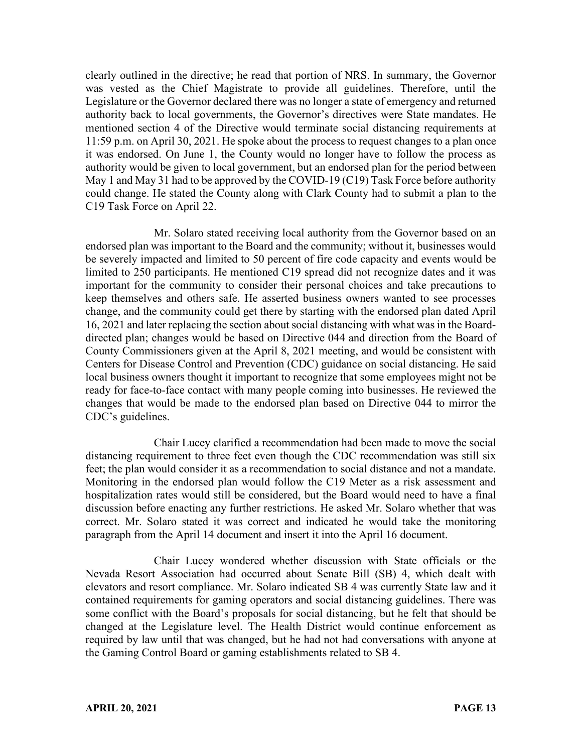clearly outlined in the directive; he read that portion of NRS. In summary, the Governor was vested as the Chief Magistrate to provide all guidelines. Therefore, until the Legislature or the Governor declared there was no longer a state of emergency and returned authority back to local governments, the Governor's directives were State mandates. He mentioned section 4 of the Directive would terminate social distancing requirements at 11:59 p.m. on April 30, 2021. He spoke about the process to request changes to a plan once it was endorsed. On June 1, the County would no longer have to follow the process as authority would be given to local government, but an endorsed plan for the period between May 1 and May 31 had to be approved by the COVID-19 (C19) Task Force before authority could change. He stated the County along with Clark County had to submit a plan to the C19 Task Force on April 22.

Mr. Solaro stated receiving local authority from the Governor based on an endorsed plan was important to the Board and the community; without it, businesses would be severely impacted and limited to 50 percent of fire code capacity and events would be limited to 250 participants. He mentioned C19 spread did not recognize dates and it was important for the community to consider their personal choices and take precautions to keep themselves and others safe. He asserted business owners wanted to see processes change, and the community could get there by starting with the endorsed plan dated April 16, 2021 and later replacing the section about social distancing with what was in the Boarddirected plan; changes would be based on Directive 044 and direction from the Board of County Commissioners given at the April 8, 2021 meeting, and would be consistent with Centers for Disease Control and Prevention (CDC) guidance on social distancing. He said local business owners thought it important to recognize that some employees might not be ready for face-to-face contact with many people coming into businesses. He reviewed the changes that would be made to the endorsed plan based on Directive 044 to mirror the CDC's guidelines.

Chair Lucey clarified a recommendation had been made to move the social distancing requirement to three feet even though the CDC recommendation was still six feet; the plan would consider it as a recommendation to social distance and not a mandate. Monitoring in the endorsed plan would follow the C19 Meter as a risk assessment and hospitalization rates would still be considered, but the Board would need to have a final discussion before enacting any further restrictions. He asked Mr. Solaro whether that was correct. Mr. Solaro stated it was correct and indicated he would take the monitoring paragraph from the April 14 document and insert it into the April 16 document.

Chair Lucey wondered whether discussion with State officials or the Nevada Resort Association had occurred about Senate Bill (SB) 4, which dealt with elevators and resort compliance. Mr. Solaro indicated SB 4 was currently State law and it contained requirements for gaming operators and social distancing guidelines. There was some conflict with the Board's proposals for social distancing, but he felt that should be changed at the Legislature level. The Health District would continue enforcement as required by law until that was changed, but he had not had conversations with anyone at the Gaming Control Board or gaming establishments related to SB 4.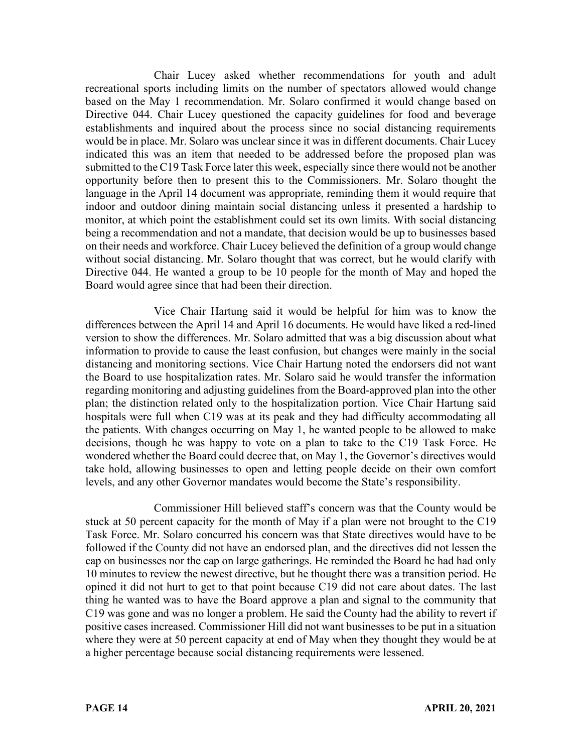Chair Lucey asked whether recommendations for youth and adult recreational sports including limits on the number of spectators allowed would change based on the May 1 recommendation. Mr. Solaro confirmed it would change based on Directive 044. Chair Lucey questioned the capacity guidelines for food and beverage establishments and inquired about the process since no social distancing requirements would be in place. Mr. Solaro was unclear since it was in different documents. Chair Lucey indicated this was an item that needed to be addressed before the proposed plan was submitted to the C19 Task Force later this week, especially since there would not be another opportunity before then to present this to the Commissioners. Mr. Solaro thought the language in the April 14 document was appropriate, reminding them it would require that indoor and outdoor dining maintain social distancing unless it presented a hardship to monitor, at which point the establishment could set its own limits. With social distancing being a recommendation and not a mandate, that decision would be up to businesses based on their needs and workforce. Chair Lucey believed the definition of a group would change without social distancing. Mr. Solaro thought that was correct, but he would clarify with Directive 044. He wanted a group to be 10 people for the month of May and hoped the Board would agree since that had been their direction.

Vice Chair Hartung said it would be helpful for him was to know the differences between the April 14 and April 16 documents. He would have liked a red-lined version to show the differences. Mr. Solaro admitted that was a big discussion about what information to provide to cause the least confusion, but changes were mainly in the social distancing and monitoring sections. Vice Chair Hartung noted the endorsers did not want the Board to use hospitalization rates. Mr. Solaro said he would transfer the information regarding monitoring and adjusting guidelines from the Board-approved plan into the other plan; the distinction related only to the hospitalization portion. Vice Chair Hartung said hospitals were full when C19 was at its peak and they had difficulty accommodating all the patients. With changes occurring on May 1, he wanted people to be allowed to make decisions, though he was happy to vote on a plan to take to the C19 Task Force. He wondered whether the Board could decree that, on May 1, the Governor's directives would take hold, allowing businesses to open and letting people decide on their own comfort levels, and any other Governor mandates would become the State's responsibility.

Commissioner Hill believed staff's concern was that the County would be stuck at 50 percent capacity for the month of May if a plan were not brought to the C19 Task Force. Mr. Solaro concurred his concern was that State directives would have to be followed if the County did not have an endorsed plan, and the directives did not lessen the cap on businesses nor the cap on large gatherings. He reminded the Board he had had only 10 minutes to review the newest directive, but he thought there was a transition period. He opined it did not hurt to get to that point because C19 did not care about dates. The last thing he wanted was to have the Board approve a plan and signal to the community that C19 was gone and was no longer a problem. He said the County had the ability to revert if positive cases increased. Commissioner Hill did not want businesses to be put in a situation where they were at 50 percent capacity at end of May when they thought they would be at a higher percentage because social distancing requirements were lessened.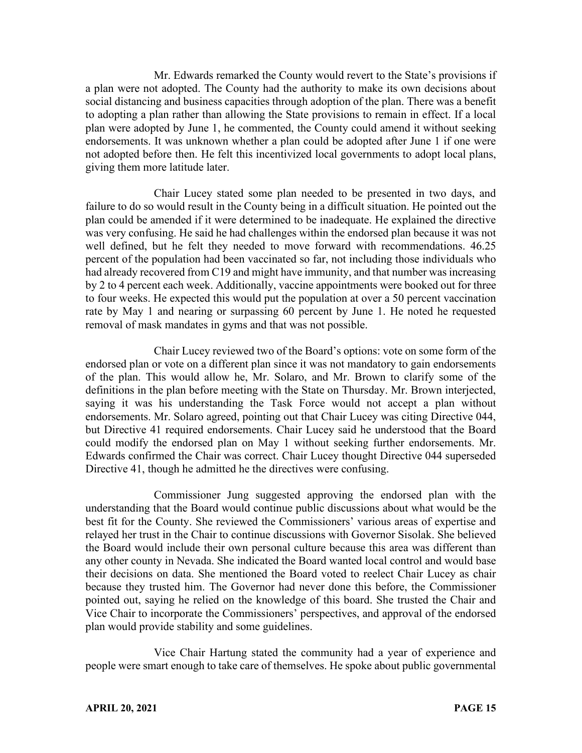Mr. Edwards remarked the County would revert to the State's provisions if a plan were not adopted. The County had the authority to make its own decisions about social distancing and business capacities through adoption of the plan. There was a benefit to adopting a plan rather than allowing the State provisions to remain in effect. If a local plan were adopted by June 1, he commented, the County could amend it without seeking endorsements. It was unknown whether a plan could be adopted after June 1 if one were not adopted before then. He felt this incentivized local governments to adopt local plans, giving them more latitude later.

Chair Lucey stated some plan needed to be presented in two days, and failure to do so would result in the County being in a difficult situation. He pointed out the plan could be amended if it were determined to be inadequate. He explained the directive was very confusing. He said he had challenges within the endorsed plan because it was not well defined, but he felt they needed to move forward with recommendations. 46.25 percent of the population had been vaccinated so far, not including those individuals who had already recovered from C19 and might have immunity, and that number was increasing by 2 to 4 percent each week. Additionally, vaccine appointments were booked out for three to four weeks. He expected this would put the population at over a 50 percent vaccination rate by May 1 and nearing or surpassing 60 percent by June 1. He noted he requested removal of mask mandates in gyms and that was not possible.

Chair Lucey reviewed two of the Board's options: vote on some form of the endorsed plan or vote on a different plan since it was not mandatory to gain endorsements of the plan. This would allow he, Mr. Solaro, and Mr. Brown to clarify some of the definitions in the plan before meeting with the State on Thursday. Mr. Brown interjected, saying it was his understanding the Task Force would not accept a plan without endorsements. Mr. Solaro agreed, pointing out that Chair Lucey was citing Directive 044, but Directive 41 required endorsements. Chair Lucey said he understood that the Board could modify the endorsed plan on May 1 without seeking further endorsements. Mr. Edwards confirmed the Chair was correct. Chair Lucey thought Directive 044 superseded Directive 41, though he admitted he the directives were confusing.

Commissioner Jung suggested approving the endorsed plan with the understanding that the Board would continue public discussions about what would be the best fit for the County. She reviewed the Commissioners' various areas of expertise and relayed her trust in the Chair to continue discussions with Governor Sisolak. She believed the Board would include their own personal culture because this area was different than any other county in Nevada. She indicated the Board wanted local control and would base their decisions on data. She mentioned the Board voted to reelect Chair Lucey as chair because they trusted him. The Governor had never done this before, the Commissioner pointed out, saying he relied on the knowledge of this board. She trusted the Chair and Vice Chair to incorporate the Commissioners' perspectives, and approval of the endorsed plan would provide stability and some guidelines.

Vice Chair Hartung stated the community had a year of experience and people were smart enough to take care of themselves. He spoke about public governmental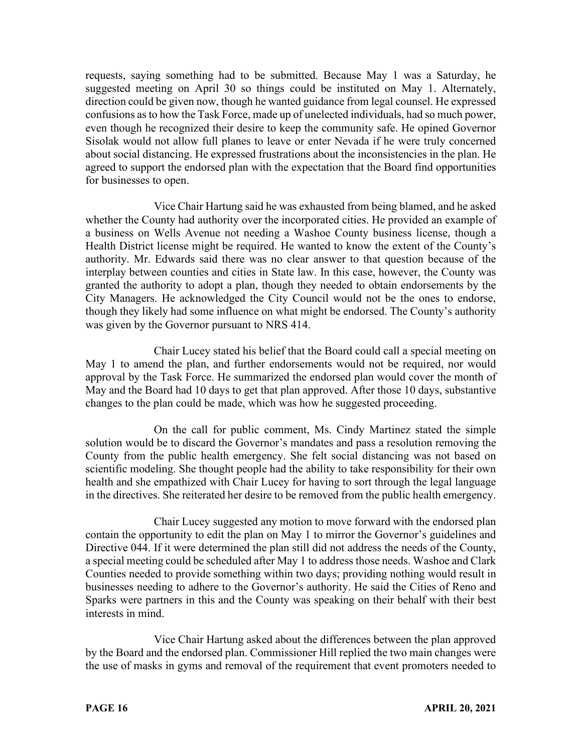requests, saying something had to be submitted. Because May 1 was a Saturday, he suggested meeting on April 30 so things could be instituted on May 1. Alternately, direction could be given now, though he wanted guidance from legal counsel. He expressed confusions as to how the Task Force, made up of unelected individuals, had so much power, even though he recognized their desire to keep the community safe. He opined Governor Sisolak would not allow full planes to leave or enter Nevada if he were truly concerned about social distancing. He expressed frustrations about the inconsistencies in the plan. He agreed to support the endorsed plan with the expectation that the Board find opportunities for businesses to open.

Vice Chair Hartung said he was exhausted from being blamed, and he asked whether the County had authority over the incorporated cities. He provided an example of a business on Wells Avenue not needing a Washoe County business license, though a Health District license might be required. He wanted to know the extent of the County's authority. Mr. Edwards said there was no clear answer to that question because of the interplay between counties and cities in State law. In this case, however, the County was granted the authority to adopt a plan, though they needed to obtain endorsements by the City Managers. He acknowledged the City Council would not be the ones to endorse, though they likely had some influence on what might be endorsed. The County's authority was given by the Governor pursuant to NRS 414.

Chair Lucey stated his belief that the Board could call a special meeting on May 1 to amend the plan, and further endorsements would not be required, nor would approval by the Task Force. He summarized the endorsed plan would cover the month of May and the Board had 10 days to get that plan approved. After those 10 days, substantive changes to the plan could be made, which was how he suggested proceeding.

On the call for public comment, Ms. Cindy Martinez stated the simple solution would be to discard the Governor's mandates and pass a resolution removing the County from the public health emergency. She felt social distancing was not based on scientific modeling. She thought people had the ability to take responsibility for their own health and she empathized with Chair Lucey for having to sort through the legal language in the directives. She reiterated her desire to be removed from the public health emergency.

Chair Lucey suggested any motion to move forward with the endorsed plan contain the opportunity to edit the plan on May 1 to mirror the Governor's guidelines and Directive 044. If it were determined the plan still did not address the needs of the County, a special meeting could be scheduled after May 1 to address those needs. Washoe and Clark Counties needed to provide something within two days; providing nothing would result in businesses needing to adhere to the Governor's authority. He said the Cities of Reno and Sparks were partners in this and the County was speaking on their behalf with their best interests in mind.

Vice Chair Hartung asked about the differences between the plan approved by the Board and the endorsed plan. Commissioner Hill replied the two main changes were the use of masks in gyms and removal of the requirement that event promoters needed to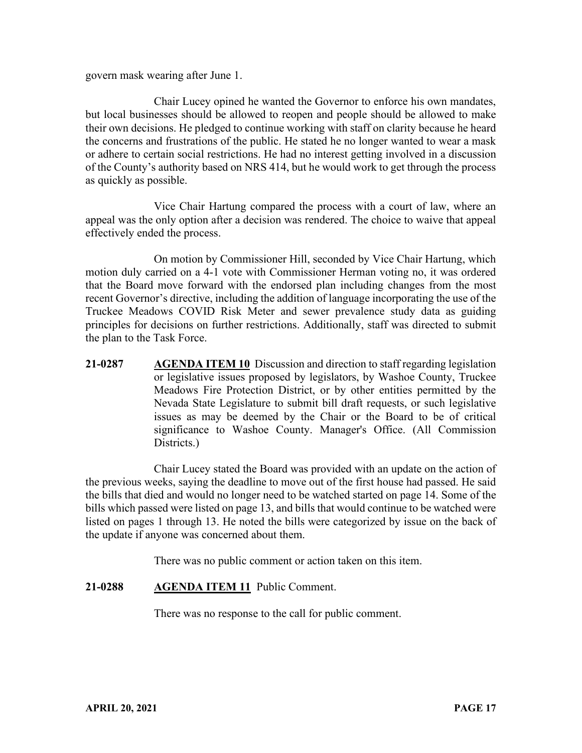govern mask wearing after June 1.

Chair Lucey opined he wanted the Governor to enforce his own mandates, but local businesses should be allowed to reopen and people should be allowed to make their own decisions. He pledged to continue working with staff on clarity because he heard the concerns and frustrations of the public. He stated he no longer wanted to wear a mask or adhere to certain social restrictions. He had no interest getting involved in a discussion of the County's authority based on NRS 414, but he would work to get through the process as quickly as possible.

Vice Chair Hartung compared the process with a court of law, where an appeal was the only option after a decision was rendered. The choice to waive that appeal effectively ended the process.

On motion by Commissioner Hill, seconded by Vice Chair Hartung, which motion duly carried on a 4-1 vote with Commissioner Herman voting no, it was ordered that the Board move forward with the endorsed plan including changes from the most recent Governor's directive, including the addition of language incorporating the use of the Truckee Meadows COVID Risk Meter and sewer prevalence study data as guiding principles for decisions on further restrictions. Additionally, staff was directed to submit the plan to the Task Force.

**21-0287 AGENDA ITEM 10** Discussion and direction to staff regarding legislation or legislative issues proposed by legislators, by Washoe County, Truckee Meadows Fire Protection District, or by other entities permitted by the Nevada State Legislature to submit bill draft requests, or such legislative issues as may be deemed by the Chair or the Board to be of critical significance to Washoe County. Manager's Office. (All Commission Districts.)

Chair Lucey stated the Board was provided with an update on the action of the previous weeks, saying the deadline to move out of the first house had passed. He said the bills that died and would no longer need to be watched started on page 14. Some of the bills which passed were listed on page 13, and bills that would continue to be watched were listed on pages 1 through 13. He noted the bills were categorized by issue on the back of the update if anyone was concerned about them.

There was no public comment or action taken on this item.

#### **21-0288 AGENDA ITEM 11** Public Comment.

There was no response to the call for public comment.